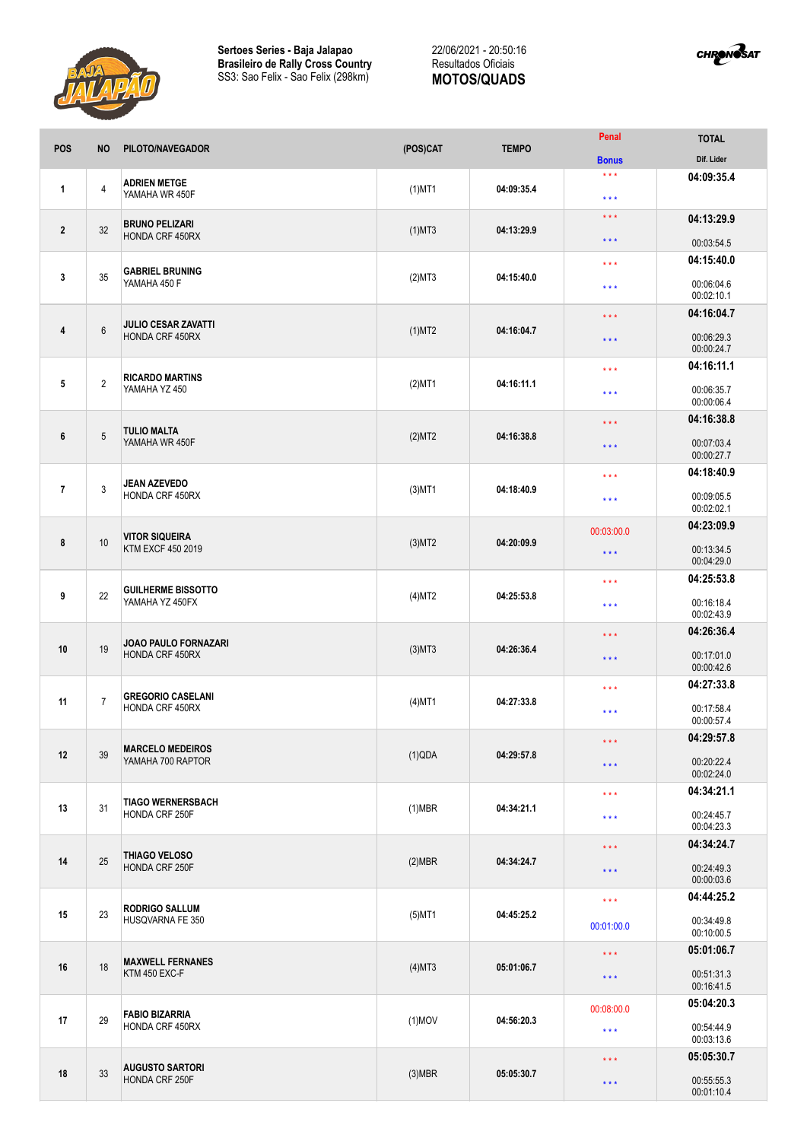



| POS            | <b>NO</b>       | PILOTO/NAVEGADOR                               | (POS)CAT     | <b>TEMPO</b> | Penal                                    | <b>TOTAL</b>                           |
|----------------|-----------------|------------------------------------------------|--------------|--------------|------------------------------------------|----------------------------------------|
|                |                 |                                                |              |              | <b>Bonus</b>                             | Dif. Lider                             |
| 1              | $\overline{4}$  | <b>ADRIEN METGE</b><br>YAMAHA WR 450F          | $(1)$ MT1    | 04:09:35.4   | $\star\star\star$<br>$\star \star \star$ | 04:09:35.4                             |
| $\overline{2}$ | 32              | <b>BRUNO PELIZARI</b><br>HONDA CRF 450RX       | $(1)$ MT3    | 04:13:29.9   | $***$<br>$***$                           | 04:13:29.9                             |
|                |                 |                                                |              |              |                                          | 00:03:54.5                             |
| $\mathbf{3}$   | 35              | <b>GABRIEL BRUNING</b><br>YAMAHA 450 F         | (2)MT3       | 04:15:40.0   | $\star$ $\star$ $\star$<br>$***$         | 04:15:40.0<br>00:06:04.6<br>00:02:10.1 |
|                |                 |                                                |              | 04:16:04.7   | $\star$ $\star$ $\star$                  | 04:16:04.7                             |
| 4              | $6\phantom{1}$  | <b>JULIO CESAR ZAVATTI</b><br>HONDA CRF 450RX  | $(1)$ MT2    |              | $\star$ $\star$ $\star$                  | 00:06:29.3<br>00:00:24.7               |
|                |                 |                                                |              |              | $***$                                    | 04:16:11.1                             |
| 5              | $\overline{2}$  | <b>RICARDO MARTINS</b><br>YAMAHA YZ 450        | $(2)$ MT1    | 04:16:11.1   | $\star \star \star$                      | 00:06:35.7<br>00:00:06.4               |
|                |                 |                                                |              |              | $***$                                    | 04:16:38.8                             |
| 6              | $5\phantom{.0}$ | <b>TULIO MALTA</b><br>YAMAHA WR 450F           | (2)MT2       | 04:16:38.8   | $***$                                    | 00:07:03.4<br>00:00:27.7               |
|                |                 |                                                |              |              | $***$                                    | 04:18:40.9                             |
| $\overline{7}$ | 3               | <b>JEAN AZEVEDO</b><br>HONDA CRF 450RX         | $(3)$ MT1    | 04:18:40.9   | $***$                                    | 00:09:05.5<br>00:02:02.1               |
|                |                 | <b>VITOR SIQUEIRA</b><br>KTM EXCF 450 2019     |              |              | 00:03:00.0                               | 04:23:09.9                             |
| 8              | 10              |                                                | $(3)$ MT2    | 04:20:09.9   | $***$                                    | 00:13:34.5<br>00:04:29.0               |
|                |                 | <b>GUILHERME BISSOTTO</b><br>YAMAHA YZ 450FX   | (4)MT2       | 04:25:53.8   | $***$                                    | 04:25:53.8                             |
| 9              | 22              |                                                |              |              | $***$                                    | 00:16:18.4<br>00:02:43.9               |
|                | 19              | <b>JOAO PAULO FORNAZARI</b><br>HONDA CRF 450RX | $(3)$ MT $3$ | 04:26:36.4   | $\star$ $\star$ $\star$                  | 04:26:36.4                             |
| 10             |                 |                                                |              |              | $***$                                    | 00:17:01.0<br>00:00:42.6               |
|                |                 |                                                | $(4)$ MT1    | 04:27:33.8   | $***$                                    | 04:27:33.8                             |
| 11             | $\overline{7}$  | <b>GREGORIO CASELANI</b><br>HONDA CRF 450RX    |              |              | $***$                                    | 00:17:58.4<br>00:00:57.4               |
|                |                 |                                                |              | 04:29:57.8   | $\star$ $\star$ $\star$                  | 04:29:57.8                             |
| 12             | 39              | <b>MARCELO MEDEIROS</b><br>YAMAHA 700 RAPTOR   | (1)QDA       |              | $\star$ $\star$ $\star$                  | 00:20:22.4<br>00:02:24.0               |
|                |                 | <b>TIAGO WERNERSBACH</b><br>HONDA CRF 250F     | $(1)$ MBR    | 04:34:21.1   | $***$                                    | 04:34:21.1                             |
| 13             | 31              |                                                |              |              | $\star$ $\star$ $\star$                  | 00:24:45.7<br>00:04:23.3               |
|                | 25              | THIAGO VELOSO<br>HONDA CRF 250F                | $(2)$ MBR    | 04:34:24.7   | $\star\star\star$                        | 04:34:24.7                             |
| 14             |                 |                                                |              |              | $\star$ $\star$ $\star$                  | 00:24:49.3<br>00:00:03.6               |
|                |                 |                                                |              |              | $\star$ $\star$ $\star$                  | 04:44:25.2                             |
| 15             | 23              | <b>RODRIGO SALLUM</b><br>HUSQVARNA FE 350      | $(5)$ MT1    | 04:45:25.2   | 00:01:00.0                               | 00:34:49.8<br>00:10:00.5               |
|                | 18              | <b>MAXWELL FERNANES</b><br>KTM 450 EXC-F       | $(4)$ MT3    | 05:01:06.7   | $\star$ $\star$ $\star$                  | 05:01:06.7                             |
| 16             |                 |                                                |              |              | $\star$ $\star$ $\star$                  | 00:51:31.3<br>00:16:41.5               |
|                |                 |                                                |              | 04:56:20.3   | 00:08:00.0                               | 05:04:20.3                             |
| 17             | 29              | <b>FABIO BIZARRIA</b><br>HONDA CRF 450RX       | $(1)$ MOV    |              | $\star$ $\star$ $\star$                  | 00:54:44.9<br>00:03:13.6               |
| 18             | 33              | <b>AUGUSTO SARTORI</b><br>HONDA CRF 250F       | $(3)$ MBR    | 05:05:30.7   | $***$                                    | 05:05:30.7                             |
|                |                 |                                                |              |              | $\star$ $\star$ $\star$                  | 00:55:55.3<br>00:01:10.4               |